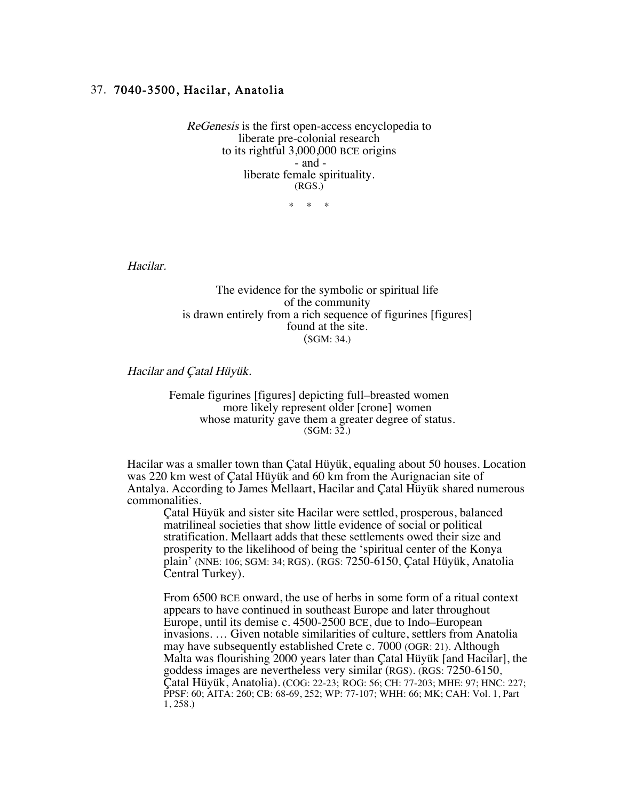## 37. 7040-3500, Hacilar, Anatolia

ReGenesis is the first open-access encyclopedia to liberate pre-colonial research to its rightful 3,000,000 BCE origins - and liberate female spirituality. (RGS.)

\* \* \*

Hacilar.

The evidence for the symbolic or spiritual life of the community is drawn entirely from a rich sequence of figurines [figures] found at the site. (SGM: 34.)

Hacilar and Çatal Hüyük.

Female figurines [figures] depicting full–breasted women more likely represent older [crone] women whose maturity gave them a greater degree of status.<br>(SGM: 32.)

Hacilar was a smaller town than Çatal Hüyük, equaling about 50 houses. Location was 220 km west of Çatal Hüyük and 60 km from the Aurignacian site of Antalya. According to James Mellaart, Hacilar and Çatal Hüyük shared numerous commonalities.

Çatal Hüyük and sister site Hacilar were settled, prosperous, balanced matrilineal societies that show little evidence of social or political stratification. Mellaart adds that these settlements owed their size and prosperity to the likelihood of being the 'spiritual center of the Konya plain' (NNE: 106; SGM: 34; RGS). (RGS: 7250-6150, Çatal Hüyük, Anatolia Central Turkey).

From 6500 BCE onward, the use of herbs in some form of a ritual context appears to have continued in southeast Europe and later throughout Europe, until its demise c. 4500-2500 BCE, due to Indo–European invasions. … Given notable similarities of culture, settlers from Anatolia may have subsequently established Crete c. 7000 (OGR: 21). Although Malta was flourishing 2000 years later than Çatal Hüyük [and Hacilar], the goddess images are nevertheless very similar (RGS). (RGS: 7250-6150, Çatal Hüyük, Anatolia). (COG: 22-23; ROG: 56; CH: 77-203; MHE: 97; HNC: 227; PPSF: 60; AITA: 260; CB: 68-69, 252; WP: 77-107; WHH: 66; MK; CAH: Vol. 1, Part 1, 258.)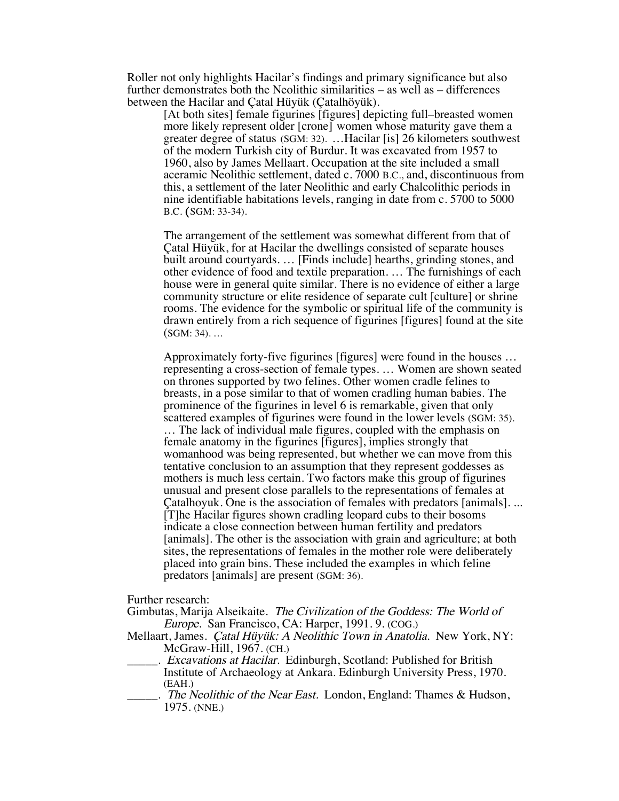Roller not only highlights Hacilar's findings and primary significance but also further demonstrates both the Neolithic similarities – as well as – differences between the Hacilar and Çatal Hüyük (Çatalhöyük).

[At both sites] female figurines [figures] depicting full–breasted women more likely represent older [crone] women whose maturity gave them a greater degree of status (SGM: 32). …Hacilar [is] 26 kilometers southwest of the modern Turkish city of Burdur. It was excavated from 1957 to 1960, also by James Mellaart. Occupation at the site included a small aceramic Neolithic settlement, dated c. 7000 B.C., and, discontinuous from this, a settlement of the later Neolithic and early Chalcolithic periods in nine identifiable habitations levels, ranging in date from c. 5700 to 5000 B.C. (SGM: 33-34).

The arrangement of the settlement was somewhat different from that of Çatal Hüyük, for at Hacilar the dwellings consisted of separate houses built around courtyards. … [Finds include] hearths, grinding stones, and other evidence of food and textile preparation. … The furnishings of each house were in general quite similar. There is no evidence of either a large community structure or elite residence of separate cult [culture] or shrine rooms. The evidence for the symbolic or spiritual life of the community is drawn entirely from a rich sequence of figurines [figures] found at the site (SGM: 34). …

Approximately forty-five figurines [figures] were found in the houses … representing a cross-section of female types. … Women are shown seated on thrones supported by two felines. Other women cradle felines to breasts, in a pose similar to that of women cradling human babies. The prominence of the figurines in level 6 is remarkable, given that only scattered examples of figurines were found in the lower levels (SGM: 35). … The lack of individual male figures, coupled with the emphasis on female anatomy in the figurines [figures], implies strongly that womanhood was being represented, but whether we can move from this tentative conclusion to an assumption that they represent goddesses as mothers is much less certain. Two factors make this group of figurines unusual and present close parallels to the representations of females at Çatalhoyuk. One is the association of females with predators [animals]. ... [T]he Hacilar figures shown cradling leopard cubs to their bosoms indicate a close connection between human fertility and predators [animals]. The other is the association with grain and agriculture; at both sites, the representations of females in the mother role were deliberately placed into grain bins. These included the examples in which feline predators [animals] are present (SGM: 36).

Further research:

- Gimbutas, Marija Alseikaite. The Civilization of the Goddess: The World of Europe. San Francisco, CA: Harper, 1991. 9. (COG.)
- Mellaart, James. Çatal Hüyük: A Neolithic Town in Anatolia. New York, NY: McGraw-Hill, 1967. (CH.)
	- \_\_\_\_\_. Excavations at Hacilar. Edinburgh, Scotland: Published for British Institute of Archaeology at Ankara. Edinburgh University Press, 1970. (EAH.)
	- \_\_\_\_\_. The Neolithic of the Near East. London, England: Thames & Hudson, 1975. (NNE.)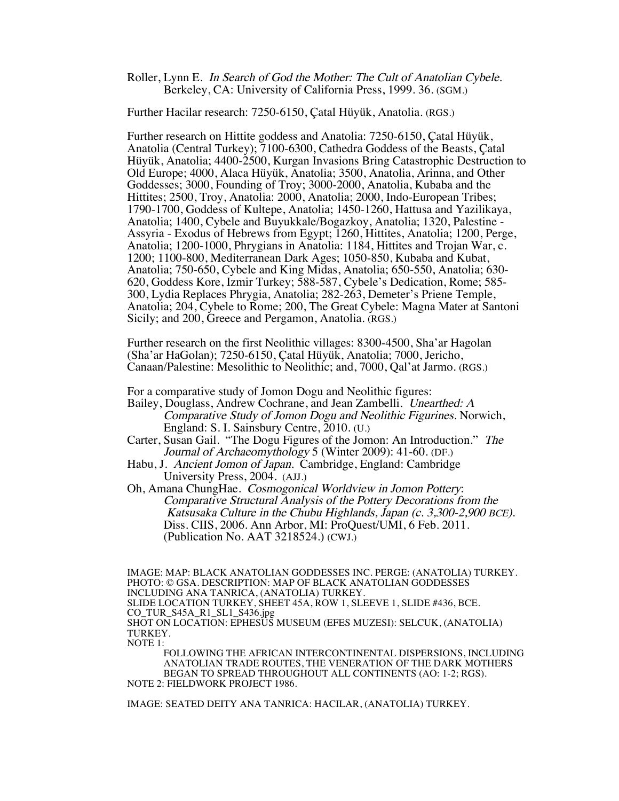Roller, Lynn E. In Search of God the Mother: The Cult of Anatolian Cybele. Berkeley, CA: University of California Press, 1999. 36. (SGM.)

Further Hacilar research: 7250-6150, Çatal Hüyük, Anatolia. (RGS.)

Further research on Hittite goddess and Anatolia: 7250-6150, Çatal Hüyük, Anatolia (Central Turkey); 7100-6300, Cathedra Goddess of the Beasts, Çatal Hüyük, Anatolia; 4400-2500, Kurgan Invasions Bring Catastrophic Destruction to Old Europe; 4000, Alaca Hüyük, Anatolia; 3500, Anatolia, Arinna, and Other Goddesses; 3000, Founding of Troy; 3000-2000, Anatolia, Kubaba and the Hittites; 2500, Troy, Anatolia: 2000, Anatolia; 2000, Indo-European Tribes; 1790-1700, Goddess of Kultepe, Anatolia; 1450-1260, Hattusa and Yazilikaya, Anatolia; 1400, Cybele and Buyukkale/Bogazkoy, Anatolia; 1320, Palestine - Assyria - Exodus of Hebrews from Egypt; 1260, Hittites, Anatolia; 1200, Perge, Anatolia; 1200-1000, Phrygians in Anatolia: 1184, Hittites and Trojan War, c. 1200; 1100-800, Mediterranean Dark Ages; 1050-850, Kubaba and Kubat, Anatolia; 750-650, Cybele and King Midas, Anatolia; 650-550, Anatolia; 630- 620, Goddess Kore, Izmir Turkey; 588-587, Cybele's Dedication, Rome; 585- 300, Lydia Replaces Phrygia, Anatolia; 282-263, Demeter's Priene Temple, Anatolia; 204, Cybele to Rome; 200, The Great Cybele: Magna Mater at Santoni Sicily; and 200, Greece and Pergamon, Anatolia. (RGS.)

Further research on the first Neolithic villages: 8300-4500, Sha'ar Hagolan (Sha'ar HaGolan); 7250-6150, Çatal Hüyük, Anatolia; 7000, Jericho, Canaan/Palestine: Mesolithic to Neolithic; and, 7000, Qal'at Jarmo. (RGS.)

For a comparative study of Jomon Dogu and Neolithic figures:

- Bailey, Douglass, Andrew Cochrane, and Jean Zambelli. Unearthed: A Comparative Study of Jomon Dogu and Neolithic Figurines. Norwich, England: S. I. Sainsbury Centre, 2010. (U.)
- Carter, Susan Gail. "The Dogu Figures of the Jomon: An Introduction." The Journal of Archaeomythology 5 (Winter 2009): 41-60. (DF.)
- Habu, J. Ancient Jomon of Japan. Cambridge, England: Cambridge University Press, 2004. (AJJ.)
- Oh, Amana ChungHae. Cosmogonical Worldview in Jomon Pottery: Comparative Structural Analysis of the Pottery Decorations from the Katsusaka Culture in the Chubu Highlands, Japan (c. 3,300-2,900 BCE). Diss. CIIS, 2006. Ann Arbor, MI: ProQuest/UMI, 6 Feb. 2011. (Publication No. AAT 3218524.) (CWJ.)

IMAGE: MAP: BLACK ANATOLIAN GODDESSES INC. PERGE: (ANATOLIA) TURKEY. PHOTO: © GSA. DESCRIPTION: MAP OF BLACK ANATOLIAN GODDESSES INCLUDING ANA TANRICA, (ANATOLIA) TURKEY. SLIDE LOCATION TURKEY, SHEET 45A, ROW 1, SLEEVE 1, SLIDE #436, BCE. CO\_TUR\_S45A\_R1\_SL1\_S436.jpg SHOT ON LOCATION: EPHESUS MUSEUM (EFES MUZESI): SELCUK, (ANATOLIA) TURKEY. NOTE 1:

FOLLOWING THE AFRICAN INTERCONTINENTAL DISPERSIONS, INCLUDING ANATOLIAN TRADE ROUTES, THE VENERATION OF THE DARK MOTHERS BEGAN TO SPREAD THROUGHOUT ALL CONTINENTS (AO: 1-2; RGS). NOTE 2: FIELDWORK PROJECT 1986.

IMAGE: SEATED DEITY ANA TANRICA: HACILAR, (ANATOLIA) TURKEY.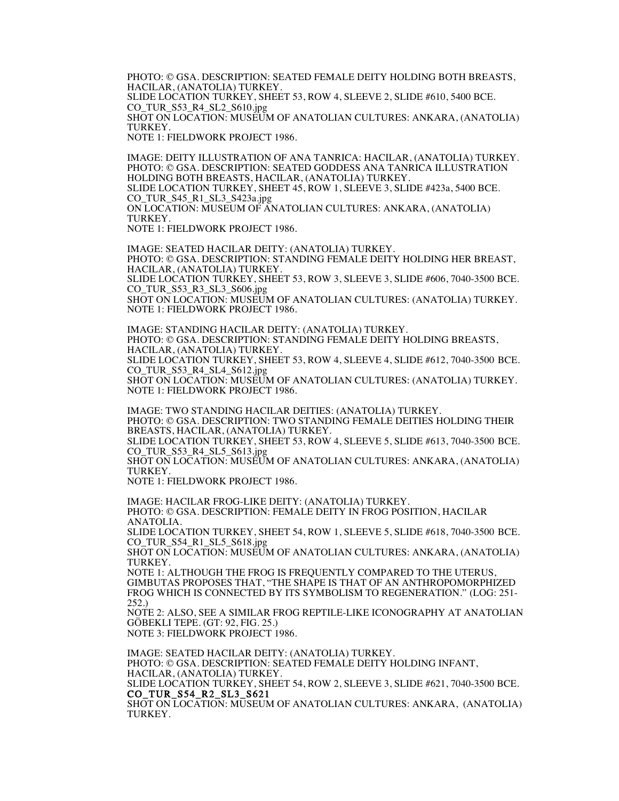PHOTO: © GSA. DESCRIPTION: SEATED FEMALE DEITY HOLDING BOTH BREASTS, HACILAR, (ANATOLIA) TURKEY. SLIDE LOCATION TURKEY, SHEET 53, ROW 4, SLEEVE 2, SLIDE #610, 5400 BCE. CO\_TUR\_S53\_R4\_SL2\_S610.jpg SHOT ON LOCATION: MUSEUM OF ANATOLIAN CULTURES: ANKARA, (ANATOLIA) TURKEY. NOTE 1: FIELDWORK PROJECT 1986.

IMAGE: DEITY ILLUSTRATION OF ANA TANRICA: HACILAR, (ANATOLIA) TURKEY. PHOTO: © GSA. DESCRIPTION: SEATED GODDESS ANA TANRICA ILLUSTRATION HOLDING BOTH BREASTS, HACILAR, (ANATOLIA) TURKEY. SLIDE LOCATION TURKEY, SHEET 45, ROW 1, SLEEVE 3, SLIDE #423a, 5400 BCE. CO\_TUR\_S45\_R1\_SL3\_S423a.jpg ON LOCATION: MUSEUM OF ANATOLIAN CULTURES: ANKARA, (ANATOLIA) TURKEY. NOTE 1: FIELDWORK PROJECT 1986.

IMAGE: SEATED HACILAR DEITY: (ANATOLIA) TURKEY. PHOTO: © GSA. DESCRIPTION: STANDING FEMALE DEITY HOLDING HER BREAST, HACILAR, (ANATOLIA) TURKEY. SLIDE LOCATION TURKEY, SHEET 53, ROW 3, SLEEVE 3, SLIDE #606, 7040-3500 BCE. CO\_TUR\_S53\_R3\_SL3\_S606.jpg SHOT ON LOCATION: MUSEUM OF ANATOLIAN CULTURES: (ANATOLIA) TURKEY. NOTE 1: FIELDWORK PROJECT 1986.

IMAGE: STANDING HACILAR DEITY: (ANATOLIA) TURKEY. PHOTO: © GSA. DESCRIPTION: STANDING FEMALE DEITY HOLDING BREASTS, HACILAR, (ANATOLIA) TURKEY. SLIDE LOCATION TURKEY, SHEET 53, ROW 4, SLEEVE 4, SLIDE #612, 7040-3500 BCE. CO\_TUR\_S53\_R4\_SL4\_S612.jpg SHOT ON LOCATION: MUSEUM OF ANATOLIAN CULTURES: (ANATOLIA) TURKEY. NOTE 1: FIELDWORK PROJECT 1986.

IMAGE: TWO STANDING HACILAR DEITIES: (ANATOLIA) TURKEY. PHOTO: © GSA. DESCRIPTION: TWO STANDING FEMALE DEITIES HOLDING THEIR BREASTS, HACILAR, (ANATOLIA) TURKEY. SLIDE LOCATION TURKEY, SHEET 53, ROW 4, SLEEVE 5, SLIDE #613, 7040-3500 BCE. CO\_TUR\_S53\_R4\_SL5\_S613.jpg SHOT ON LOCATION: MUSEUM OF ANATOLIAN CULTURES: ANKARA, (ANATOLIA) TURKEY.

NOTE 1: FIELDWORK PROJECT 1986.

IMAGE: HACILAR FROG-LIKE DEITY: (ANATOLIA) TURKEY. PHOTO: © GSA. DESCRIPTION: FEMALE DEITY IN FROG POSITION, HACILAR ANATOLIA. SLIDE LOCATION TURKEY, SHEET 54, ROW 1, SLEEVE 5, SLIDE #618, 7040-3500 BCE.

CO\_TUR\_S54\_R1\_SL5\_S618.jpg

SHOT ON LOCATION: MUSEUM OF ANATOLIAN CULTURES: ANKARA, (ANATOLIA) TURKEY.

NOTE 1: ALTHOUGH THE FROG IS FREQUENTLY COMPARED TO THE UTERUS, GIMBUTAS PROPOSES THAT, "THE SHAPE IS THAT OF AN ANTHROPOMORPHIZED FROG WHICH IS CONNECTED BY ITS SYMBOLISM TO REGENERATION." (LOG: 251- 252.)

NOTE 2: ALSO, SEE A SIMILAR FROG REPTILE-LIKE ICONOGRAPHY AT ANATOLIAN GÖBEKLI TEPE. (GT: 92, FIG. 25.)

NOTE 3: FIELDWORK PROJECT 1986.

IMAGE: SEATED HACILAR DEITY: (ANATOLIA) TURKEY. PHOTO: © GSA. DESCRIPTION: SEATED FEMALE DEITY HOLDING INFANT, HACILAR, (ANATOLIA) TURKEY.

SLIDE LOCATION TURKEY, SHEET 54, ROW 2, SLEEVE 3, SLIDE #621, 7040-3500 BCE. CO\_TUR\_S54\_R2\_SL3\_S621

SHOT ON LOCATION: MUSEUM OF ANATOLIAN CULTURES: ANKARA, (ANATOLIA) TURKEY.